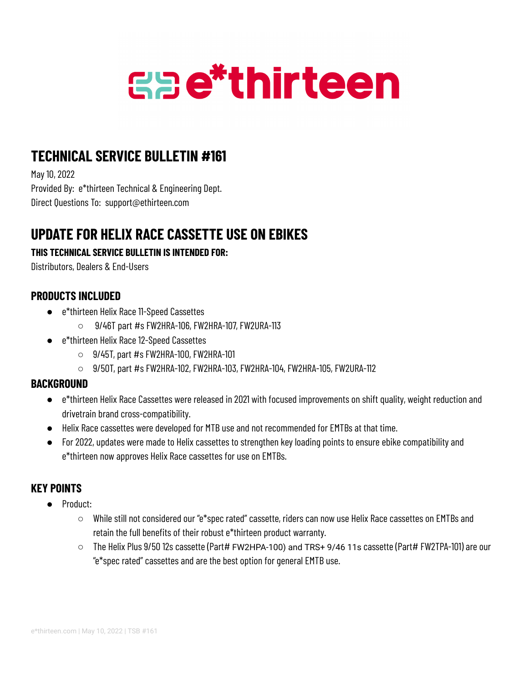# **Gae\*thirteen**

## **TECHNICAL SERVICE BULLETIN #161**

May 10, 2022 Provided By: e\*thirteen Technical & Engineering Dept. Direct Questions To: support@ethirteen.com

## **UPDATE FOR HELIX RACE CASSETTE USE ON EBIKES**

#### **THIS TECHNICAL SERVICE BULLETIN IS INTENDED FOR:**

Distributors, Dealers & End-Users

#### **PRODUCTS INCLUDED**

- e\*thirteen Helix Race 11-Speed Cassettes
	- $\circ$  9/46T part #s FW2HRA-106, FW2HRA-107, FW2URA-113
- e\*thirteen Helix Race 12-Speed Cassettes
	- $\circ$  9/45T, part #s FW2HRA-100, FW2HRA-101
	- 9/50T, part #s FW2HRA-102, FW2HRA-103, FW2HRA-104, FW2HRA-105, FW2URA-112

#### **BACKGROUND**

- e\*thirteen Helix Race Cassettes were released in 2021 with focused improvements on shift quality, weight reduction and drivetrain brand cross-compatibility.
- Helix Race cassettes were developed for MTB use and not recommended for EMTBs at that time.
- For 2022, updates were made to Helix cassettes to strengthen key loading points to ensure ebike compatibility and e\*thirteen now approves Helix Race cassettes for use on EMTBs.

### **KEY POINTS**

- Product:
	- While still not considered our "e\*spec rated" cassette, riders can now use Helix Race cassettes on EMTBs and retain the full benefits of their robust e\*thirteen product warranty.
	- The Helix Plus 9/50 12s cassette (Part# FW2HPA-100) and TRS+ 9/46 11s cassette (Part# FW2TPA-101) are our "e\*spec rated" cassettes and are the best option for general EMTB use.